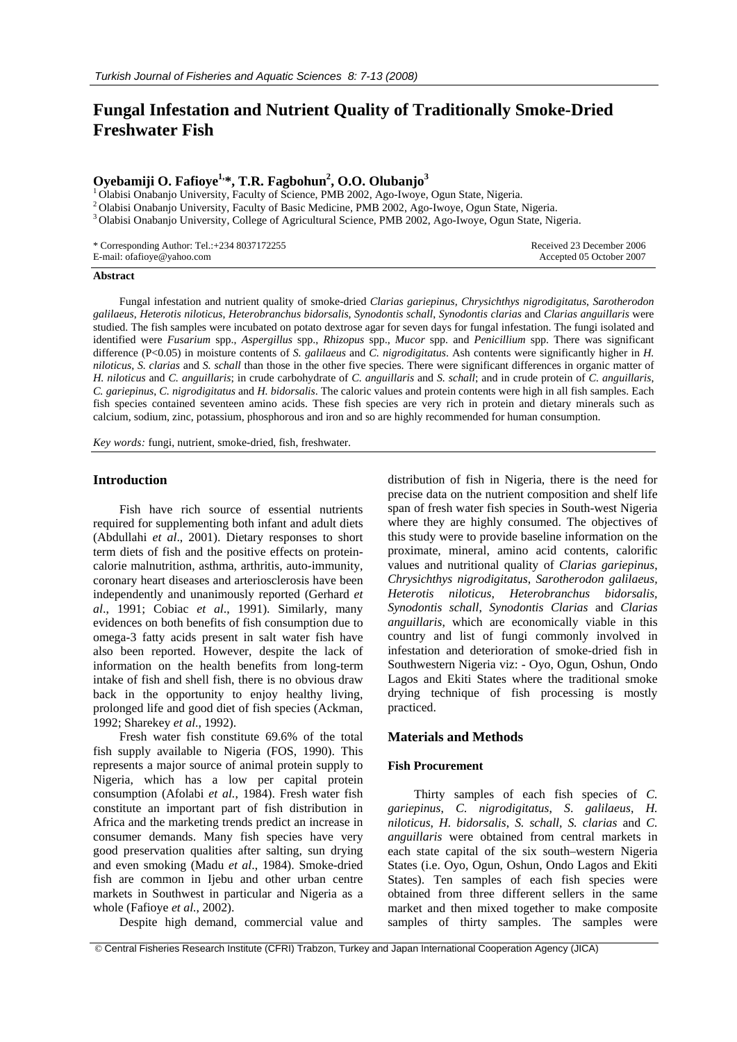# **Fungal Infestation and Nutrient Quality of Traditionally Smoke-Dried Freshwater Fish**

# **Oyebamiji O. Fafioye1,\*, T.R. Fagbohun2 , O.O. Olubanjo<sup>3</sup>**

<sup>1</sup> Olabisi Onabanjo University, Faculty of Science, PMB 2002, Ago-Iwoye, Ogun State, Nigeria.<br><sup>2</sup> Olabisi Onabanjo University, Faculty of Basic Medicine, PMB 2002, Ago-Iwoye, Ogun State, Nigeria.<br><sup>3</sup> Olabisi Onabanjo Uni

\* Corresponding Author: Tel.:+234 8037172255 E-mail: ofafioye@yahoo.com

 Received 23 December 2006 Accepted 05 October 2007

#### **Abstract**

Fungal infestation and nutrient quality of smoke-dried *Clarias gariepinus, Chrysichthys nigrodigitatus*, *Sarotherodon galilaeus*, *Heterotis niloticus*, *Heterobranchus bidorsalis*, *Synodontis schall*, *Synodontis clarias* and *Clarias anguillaris* were studied. The fish samples were incubated on potato dextrose agar for seven days for fungal infestation. The fungi isolated and identified were *Fusarium* spp., *Aspergillus* spp., *Rhizopus* spp., *Mucor* spp. and *Penicillium* spp. There was significant difference (P<0.05) in moisture contents of *S. galilaeus* and *C. nigrodigitatus*. Ash contents were significantly higher in *H. niloticus*, *S. clarias* and *S. schall* than those in the other five species. There were significant differences in organic matter of *H. niloticus* and *C. anguillaris*; in crude carbohydrate of *C. anguillaris* and *S. schall*; and in crude protein of *C. anguillaris*, *C. gariepinus*, *C. nigrodigitatus* and *H. bidorsalis*. The caloric values and protein contents were high in all fish samples. Each fish species contained seventeen amino acids. These fish species are very rich in protein and dietary minerals such as calcium, sodium, zinc, potassium, phosphorous and iron and so are highly recommended for human consumption.

*Key words:* fungi, nutrient, smoke-dried, fish, freshwater.

## **Introduction**

Fish have rich source of essential nutrients required for supplementing both infant and adult diets (Abdullahi *et al*., 2001). Dietary responses to short term diets of fish and the positive effects on proteincalorie malnutrition, asthma, arthritis, auto-immunity, coronary heart diseases and arteriosclerosis have been independently and unanimously reported (Gerhard *et al*., 1991; Cobiac *et al*., 1991). Similarly, many evidences on both benefits of fish consumption due to omega-3 fatty acids present in salt water fish have also been reported. However, despite the lack of information on the health benefits from long-term intake of fish and shell fish, there is no obvious draw back in the opportunity to enjoy healthy living, prolonged life and good diet of fish species (Ackman, 1992; Sharekey *et al*., 1992).

Fresh water fish constitute 69.6% of the total fish supply available to Nigeria (FOS, 1990). This represents a major source of animal protein supply to Nigeria, which has a low per capital protein consumption (Afolabi *et al.*, 1984). Fresh water fish constitute an important part of fish distribution in Africa and the marketing trends predict an increase in consumer demands. Many fish species have very good preservation qualities after salting, sun drying and even smoking (Madu *et al*., 1984). Smoke-dried fish are common in Ijebu and other urban centre markets in Southwest in particular and Nigeria as a whole (Fafioye *et al.*, 2002).

Despite high demand, commercial value and

distribution of fish in Nigeria, there is the need for precise data on the nutrient composition and shelf life span of fresh water fish species in South-west Nigeria where they are highly consumed. The objectives of this study were to provide baseline information on the proximate, mineral, amino acid contents, calorific values and nutritional quality of *Clarias gariepinus*, *Chrysichthys nigrodigitatus*, *Sarotherodon galilaeus, Heterotis niloticus*, *Heterobranchus bidorsalis, Synodontis schall*, *Synodontis Clarias* and *Clarias anguillaris*, which are economically viable in this country and list of fungi commonly involved in infestation and deterioration of smoke-dried fish in Southwestern Nigeria viz: - Oyo, Ogun, Oshun, Ondo Lagos and Ekiti States where the traditional smoke drying technique of fish processing is mostly practiced.

# **Materials and Methods**

#### **Fish Procurement**

Thirty samples of each fish species of *C. gariepinus*, *C*. *nigrodigitatus*, *S*. *galilaeus*, *H. niloticus*, *H. bidorsalis*, *S. schall, S. clarias* and *C. anguillaris* were obtained from central markets in each state capital of the six south–western Nigeria States (i.e. Oyo, Ogun, Oshun, Ondo Lagos and Ekiti States). Ten samples of each fish species were obtained from three different sellers in the same market and then mixed together to make composite samples of thirty samples. The samples were

 <sup>©</sup> Central Fisheries Research Institute (CFRI) Trabzon, Turkey and Japan International Cooperation Agency (JICA)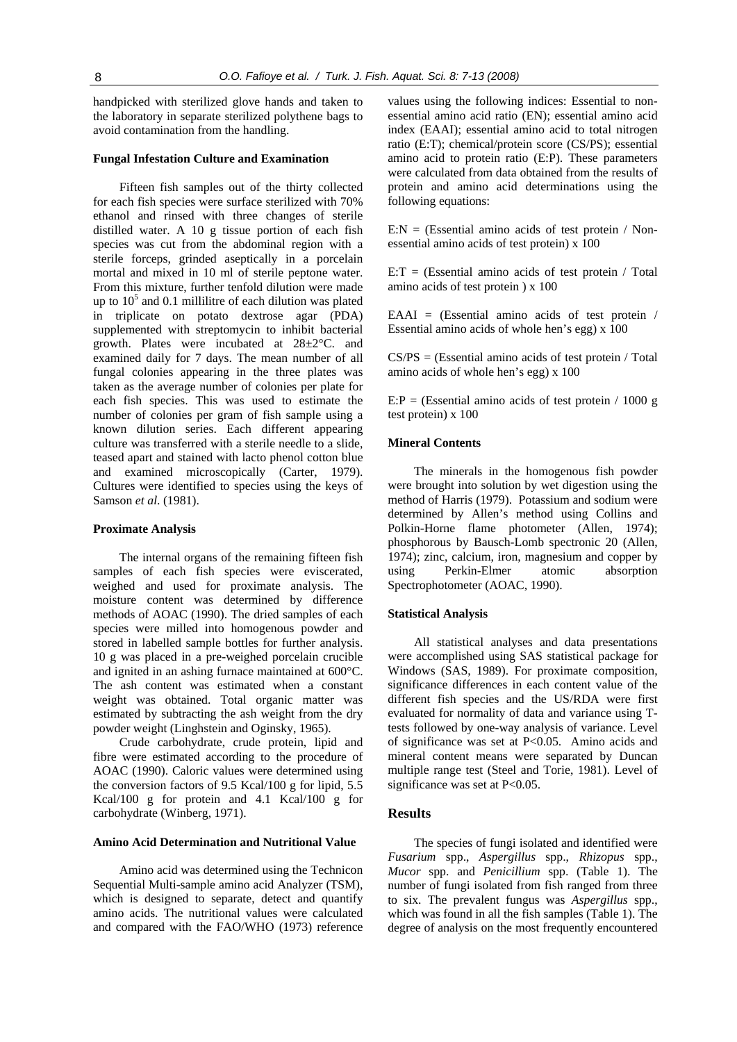handpicked with sterilized glove hands and taken to the laboratory in separate sterilized polythene bags to avoid contamination from the handling.

#### **Fungal Infestation Culture and Examination**

Fifteen fish samples out of the thirty collected for each fish species were surface sterilized with 70% ethanol and rinsed with three changes of sterile distilled water. A 10 g tissue portion of each fish species was cut from the abdominal region with a sterile forceps, grinded aseptically in a porcelain mortal and mixed in 10 ml of sterile peptone water. From this mixture, further tenfold dilution were made up to  $10<sup>5</sup>$  and 0.1 millilitre of each dilution was plated in triplicate on potato dextrose agar (PDA) supplemented with streptomycin to inhibit bacterial growth. Plates were incubated at 28±2°C. and examined daily for 7 days. The mean number of all fungal colonies appearing in the three plates was taken as the average number of colonies per plate for each fish species. This was used to estimate the number of colonies per gram of fish sample using a known dilution series. Each different appearing culture was transferred with a sterile needle to a slide, teased apart and stained with lacto phenol cotton blue and examined microscopically (Carter, 1979). Cultures were identified to species using the keys of Samson *et al*. (1981).

#### **Proximate Analysis**

The internal organs of the remaining fifteen fish samples of each fish species were eviscerated, weighed and used for proximate analysis. The moisture content was determined by difference methods of AOAC (1990). The dried samples of each species were milled into homogenous powder and stored in labelled sample bottles for further analysis. 10 g was placed in a pre-weighed porcelain crucible and ignited in an ashing furnace maintained at 600°C. The ash content was estimated when a constant weight was obtained. Total organic matter was estimated by subtracting the ash weight from the dry powder weight (Linghstein and Oginsky, 1965).

Crude carbohydrate, crude protein, lipid and fibre were estimated according to the procedure of AOAC (1990). Caloric values were determined using the conversion factors of 9.5 Kcal/100 g for lipid, 5.5 Kcal/100 g for protein and 4.1 Kcal/100 g for carbohydrate (Winberg, 1971).

#### **Amino Acid Determination and Nutritional Value**

Amino acid was determined using the Technicon Sequential Multi-sample amino acid Analyzer (TSM), which is designed to separate, detect and quantify amino acids. The nutritional values were calculated and compared with the FAO/WHO (1973) reference

values using the following indices: Essential to nonessential amino acid ratio (EN); essential amino acid index (EAAI); essential amino acid to total nitrogen ratio (E:T); chemical/protein score (CS/PS); essential amino acid to protein ratio (E:P). These parameters were calculated from data obtained from the results of protein and amino acid determinations using the following equations:

 $E:N = (Essential \, \, \text{amino} \, \, \text{acids} \, \, \text{of} \, \, \text{test} \, \, \text{protein} \, \, / \, \, \text{Non-} \, \, \text{Stress} \, \, \text{Non-} \, \, \text{Stress} \, \, \text{Covari} \, \, \text{Stress} \, \, \text{Stress} \, \, \text{Non-} \, \, \text{Stress} \, \, \text{Covari} \, \, \text{Covari} \, \, \text{Covari} \, \, \text{Covari} \, \, \text{Covari} \, \, \text{Covari} \, \, \$ essential amino acids of test protein) x 100

 $E: T = (Essential \ amino \ acids \ of \ test \ protein / Total)$ amino acids of test protein ) x 100

EAAI = (Essential amino acids of test protein / Essential amino acids of whole hen's egg) x 100

 $CS/PS = (Essential \, amino \, acids \,of \,test \,protein \,/ \,Total)$ amino acids of whole hen's egg) x 100

 $E:P = (Essential \ amino \ acids \ of \ test \ protein / 1000 \ g)$ test protein) x 100

#### **Mineral Contents**

The minerals in the homogenous fish powder were brought into solution by wet digestion using the method of Harris (1979). Potassium and sodium were determined by Allen's method using Collins and Polkin-Horne flame photometer (Allen, 1974); phosphorous by Bausch-Lomb spectronic 20 (Allen, 1974); zinc, calcium, iron, magnesium and copper by using Perkin-Elmer atomic absorption Spectrophotometer (AOAC, 1990).

#### **Statistical Analysis**

All statistical analyses and data presentations were accomplished using SAS statistical package for Windows (SAS, 1989). For proximate composition, significance differences in each content value of the different fish species and the US/RDA were first evaluated for normality of data and variance using Ttests followed by one-way analysis of variance. Level of significance was set at P<0.05. Amino acids and mineral content means were separated by Duncan multiple range test (Steel and Torie, 1981). Level of significance was set at P<0.05.

#### **Results**

The species of fungi isolated and identified were *Fusarium* spp., *Aspergillus* spp., *Rhizopus* spp., *Mucor* spp. and *Penicillium* spp. (Table 1). The number of fungi isolated from fish ranged from three to six. The prevalent fungus was *Aspergillus* spp., which was found in all the fish samples (Table 1). The degree of analysis on the most frequently encountered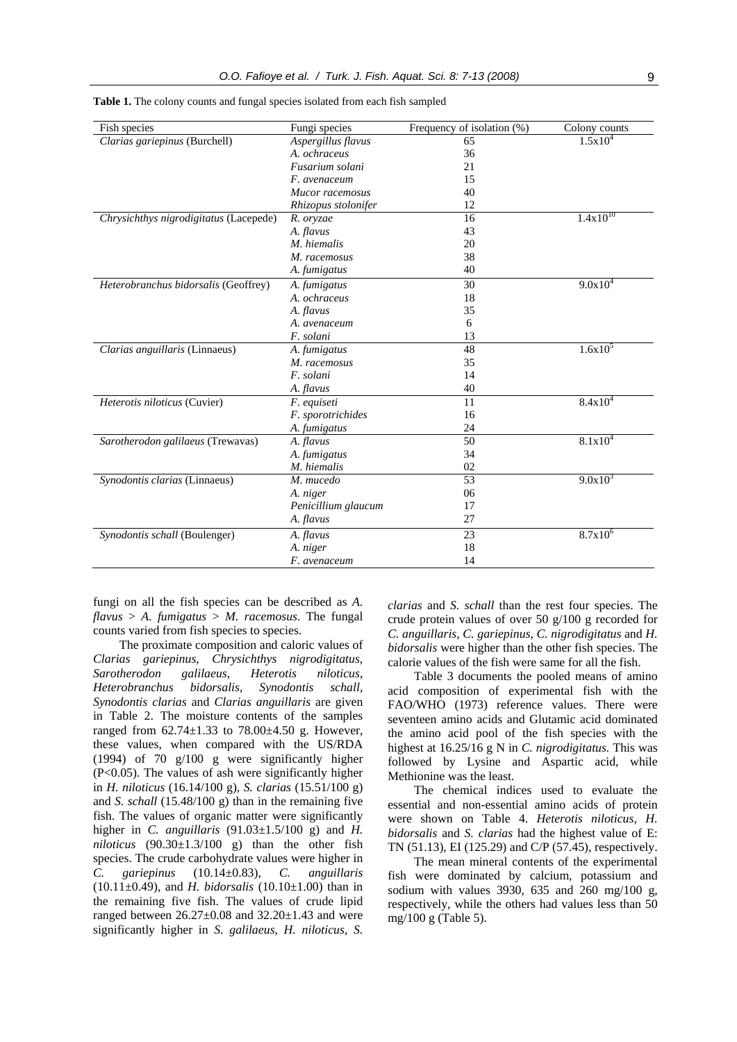| Fish species                           | Fungi species       | Frequency of isolation (%) | Colony counts |
|----------------------------------------|---------------------|----------------------------|---------------|
| Clarias gariepinus (Burchell)          | Aspergillus flavus  | 65                         | $1.5x10^{4}$  |
|                                        | A. ochraceus        | 36                         |               |
|                                        | Fusarium solani     | 21                         |               |
|                                        | F. avenaceum        | 15                         |               |
|                                        | Mucor racemosus     | 40                         |               |
|                                        | Rhizopus stolonifer | 12                         |               |
| Chrysichthys nigrodigitatus (Lacepede) | R. oryzae           | 16                         | $1.4x10^{10}$ |
|                                        | A. flavus           | 43                         |               |
|                                        | M. hiemalis         | 20                         |               |
|                                        | M. racemosus        | 38                         |               |
|                                        | A. fumigatus        | 40                         |               |
| Heterobranchus bidorsalis (Geoffrey)   | A. fumigatus        | 30                         | $9.0x10^4$    |
|                                        | A. ochraceus        | 18                         |               |
|                                        | A. flavus           | 35                         |               |
|                                        | A. avenaceum        | 6                          |               |
|                                        | F. solani           | 13                         |               |
| Clarias anguillaris (Linnaeus)         | A. fumigatus        | 48                         | $1.6x10^5$    |
|                                        | M. racemosus        | 35                         |               |
|                                        | F. solani           | 14                         |               |
|                                        | A. flavus           | 40                         |               |
| Heterotis niloticus (Cuvier)           | F. equiseti         | 11                         | $8.4x10^4$    |
|                                        | F. sporotrichides   | 16                         |               |
|                                        | A. fumigatus        | 24                         |               |
| Sarotherodon galilaeus (Trewavas)      | A. flavus           | 50                         | $8.1x10^4$    |
|                                        | A. fumigatus        | 34                         |               |
|                                        | M. hiemalis         | 02                         |               |
| Synodontis clarias (Linnaeus)          | M. mucedo           | 53                         | $9.0x10^3$    |
|                                        | A. niger            | 06                         |               |
|                                        | Penicillium glaucum | 17                         |               |
|                                        | A. flavus           | 27                         |               |
| Synodontis schall (Boulenger)          | A. flavus           | 23                         | $8.7x10^{6}$  |
|                                        | A. niger            | 18                         |               |
|                                        | F. avenaceum        | 14                         |               |

**Table 1.** The colony counts and fungal species isolated from each fish sampled

fungi on all the fish species can be described as *A. flavus* > *A. fumigatus* > *M. racemosus*. The fungal counts varied from fish species to species.

The proximate composition and caloric values of *Clarias gariepinus*, *Chrysichthys nigrodigitatus, Sarotherodon galilaeus*, *Heterotis niloticus*, *Heterobranchus bidorsalis*, *Synodontis schall, Synodontis clarias* and *Clarias anguillaris* are given in Table 2. The moisture contents of the samples ranged from  $62.74 \pm 1.33$  to  $78.00 \pm 4.50$  g. However, these values, when compared with the US/RDA (1994) of 70 g/100 g were significantly higher (P<0.05). The values of ash were significantly higher in *H. niloticus* (16.14/100 g), *S. clarias* (15.51/100 g) and *S. schall* (15.48/100 g) than in the remaining five fish. The values of organic matter were significantly higher in *C. anguillaris* (91.03±1.5/100 g) and *H. niloticus* (90.30±1.3/100 g) than the other fish species. The crude carbohydrate values were higher in *C. gariepinus* (10.14±0.83), *C. anguillaris* (10.11±0.49), and *H. bidorsalis* (10.10±1.00) than in the remaining five fish. The values of crude lipid ranged between  $26.27 \pm 0.08$  and  $32.20 \pm 1.43$  and were significantly higher in *S. galilaeus*, *H. niloticus*, *S.* 

*clarias* and *S. schall* than the rest four species. The crude protein values of over 50 g/100 g recorded for *C. anguillaris*, *C. gariepinus*, *C. nigrodigitatus* and *H. bidorsalis* were higher than the other fish species. The calorie values of the fish were same for all the fish.

Table 3 documents the pooled means of amino acid composition of experimental fish with the FAO/WHO (1973) reference values. There were seventeen amino acids and Glutamic acid dominated the amino acid pool of the fish species with the highest at 16.25/16 g N in *C. nigrodigitatus.* This was followed by Lysine and Aspartic acid, while Methionine was the least.

The chemical indices used to evaluate the essential and non-essential amino acids of protein were shown on Table 4. *Heterotis niloticus*, *H. bidorsalis* and *S. clarias* had the highest value of E: TN (51.13), EI (125.29) and C/P (57.45), respectively.

The mean mineral contents of the experimental fish were dominated by calcium, potassium and sodium with values 3930, 635 and 260 mg/100 g, respectively, while the others had values less than 50 mg/100 g (Table 5).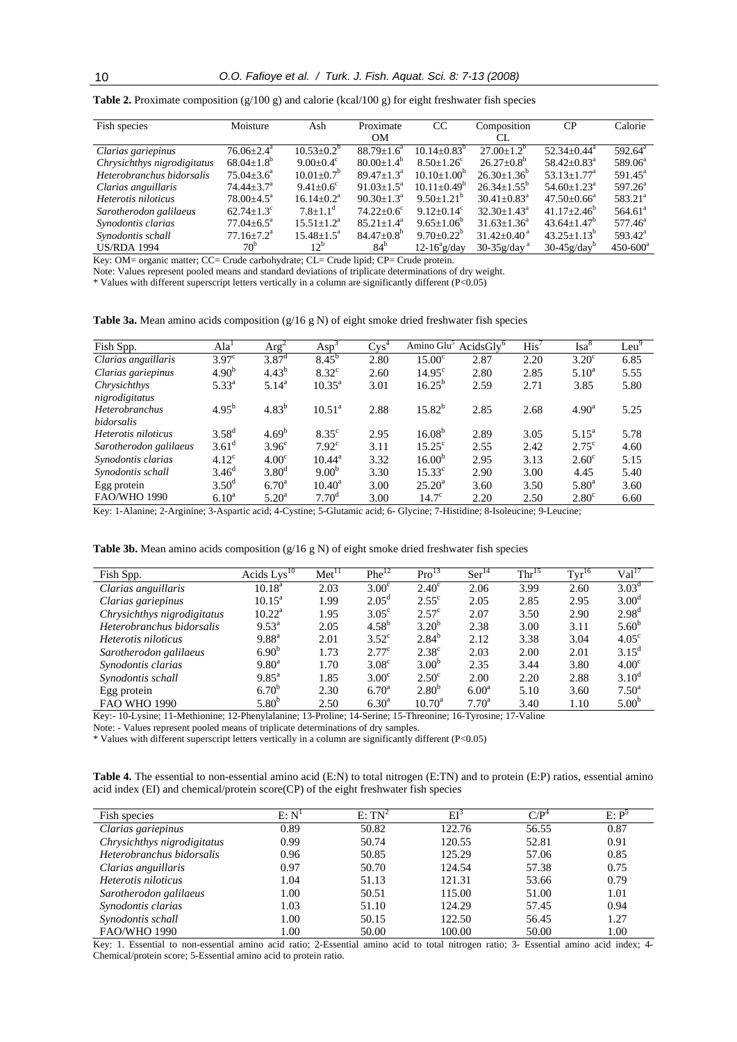| Fish species                | Moisture                     | Ash                         | Proximate               | CC                      | Composition                   | CP                            | Calorie             |
|-----------------------------|------------------------------|-----------------------------|-------------------------|-------------------------|-------------------------------|-------------------------------|---------------------|
|                             |                              |                             | OΜ                      |                         | CL.                           |                               |                     |
| Clarias gariepinus          | $76.06 \pm 2.4^{\mathrm{a}}$ | $10.53 + 0.2^{\circ}$       | $88.79 + 1.6^a$         | $10.14 + 0.83^b$        | $27.00+1.2^b$                 | $52.34 + 0.44^a$              | $592.64^{\text{a}}$ |
| Chrysichthys nigrodigitatus | $68.04 \pm 1.8^{\circ}$      | $9.00 \pm 0.4$ <sup>c</sup> | $80.00 \pm 1.4^{\circ}$ | $8.50 + 1.26^c$         | $26.27+0.8^b$                 | $58.42 + 0.83^{\circ}$        | $589.06^a$          |
| Heterobranchus bidorsalis   | $75.04 \pm 3.6^{\circ}$      | $10.01 \pm 0.7^{\circ}$     | $89.47 + 1.3^a$         | $10.10+1.00^{\circ}$    | $26.30 \pm 1.36^{\circ}$      | $53.13 \pm 1.77$ <sup>a</sup> | $591.45^{\circ}$    |
| Clarias anguillaris         | $74.44 \pm 3.7^{\circ}$      | $9.41 \pm 0.6^c$            | $91.03 + 1.5^a$         | $10.11 + 0.49^{\circ}$  | $26.34 + 1.55^{\circ}$        | $54.60 \pm 1.23$ <sup>a</sup> | $597.26^{\circ}$    |
| Heterotis niloticus         | $78.00 \pm 4.5^{\circ}$      | $16.14 \pm 0.2^{\text{a}}$  | $90.30 + 1.3^a$         | $9.50 \pm 1.21^{\circ}$ | $30.41 + 0.83$ <sup>a</sup>   | $47.50 + 0.66^a$              | $583.21^a$          |
| Sarotherodon galilaeus      | $62.74 \pm 1.3$ <sup>c</sup> | $7.8 \pm 1.1$ <sup>d</sup>  | $74.22+0.6^{\circ}$     | $9.12 + 0.14^c$         | $32.30 + 1.43^{\circ}$        | $41.17 \pm 2.46^{\circ}$      | 564.61 <sup>a</sup> |
| Synodontis clarias          | $77.04 \pm 6.5^{\circ}$      | $15.51 \pm 1.2^{\text{a}}$  | $85.21 + 1.4^a$         | $9.65 \pm 1.06^{\circ}$ | $31.63 \pm 1.36^a$            | $43.64 \pm 1.47$ <sup>b</sup> | $577.46^{\circ}$    |
| Synodontis schall           | $77.16 \pm 7.2^{\text{a}}$   | $15.48 \pm 1.5^{\text{a}}$  | $84.47 \pm 0.8^{\circ}$ | $9.70 \pm 0.22^{\circ}$ | $31.42 \pm 0.40$ <sup>a</sup> | $43.25 \pm 1.13^b$            | $593.42^{\circ}$    |
| <b>US/RDA 1994</b>          | 70 <sup>b</sup>              | $12^b$                      | 84 <sup>b</sup>         | $12-16^{\circ}$ g/day   | $30-35g/daya$                 | $30-45g/dayb$                 | $450 - 600^a$       |

**Table 2.** Proximate composition (g/100 g) and calorie (kcal/100 g) for eight freshwater fish species

Key: OM= organic matter; CC= Crude carbohydrate; CL= Crude lipid; CP= Crude protein.

Note: Values represent pooled means and standard deviations of triplicate determinations of dry weight.

\* Values with different superscript letters vertically in a column are significantly different (P<0.05)

Table 3a. Mean amino acids composition (g/16 g N) of eight smoke dried freshwater fish species

| Fish Spp.                                                                                                                | Ala <sup>1</sup>  | Arg <sup>2</sup>    | $Asp^3$            | $Cvs^4$ | Amino Glu <sup>5</sup> | $AcidsGly^6$ | His' | $\mathrm{Isa}^8$ | Leu <sup>9</sup> |
|--------------------------------------------------------------------------------------------------------------------------|-------------------|---------------------|--------------------|---------|------------------------|--------------|------|------------------|------------------|
| Clarias anguillaris                                                                                                      | 3.97 <sup>c</sup> | $3.87$ <sup>d</sup> | $8.45^{b}$         | 2.80    | 15.00 <sup>c</sup>     | 2.87         | 2.20 | $3.20^{\circ}$   | 6.85             |
| Clarias gariepinus                                                                                                       | 4.90 <sup>b</sup> | $4.43^{b}$          | $8.32^{\circ}$     | 2.60    | $14.95^{\circ}$        | 2.80         | 2.85 | $5.10^a$         | 5.55             |
| Chrysichthys                                                                                                             | $5.33^{a}$        | $5.14^{a}$          | $10.35^{\text{a}}$ | 3.01    | $16.25^{b}$            | 2.59         | 2.71 | 3.85             | 5.80             |
| nigrodigitatus                                                                                                           |                   |                     |                    |         |                        |              |      |                  |                  |
| <b>Heterobranchus</b>                                                                                                    | $4.95^{b}$        | $4.83^{b}$          | $10.51^{\circ}$    | 2.88    | $15.82^{b}$            | 2.85         | 2.68 | $4.90^{\rm a}$   | 5.25             |
| <i>bidorsalis</i>                                                                                                        |                   |                     |                    |         |                        |              |      |                  |                  |
| Heterotis niloticus                                                                                                      | $3.58^{d}$        | $4.69^{b}$          | $8.35^{\circ}$     | 2.95    | $16.08^{b}$            | 2.89         | 3.05 | $5.15^{\rm a}$   | 5.78             |
| Sarotherodon galilaeus                                                                                                   | $3.61^{\rm d}$    | 3.96 <sup>c</sup>   | 7.92 <sup>c</sup>  | 3.11    | $15.25^{\circ}$        | 2.55         | 2.42 | $2.75^{\circ}$   | 4.60             |
| Synodontis clarias                                                                                                       | $4.12^{\circ}$    | 4.00 <sup>c</sup>   | $10.44^{\rm a}$    | 3.32    | $16.00^{b}$            | 2.95         | 3.13 | $2.60^{\circ}$   | 5.15             |
| Synodontis schall                                                                                                        | $3.46^{\rm d}$    | $3.80^{\rm d}$      | $9.00^{b}$         | 3.30    | $15.33^{\circ}$        | 2.90         | 3.00 | 4.45             | 5.40             |
| Egg protein                                                                                                              | $3.50^{\rm d}$    | 6.70 <sup>a</sup>   | $10.40^a$          | 3.00    | $25.20^{\circ}$        | 3.60         | 3.50 | $5.80^{\rm a}$   | 3.60             |
| <b>FAO/WHO 1990</b>                                                                                                      | $6.10^{\rm a}$    | $5.20^{\circ}$      | $7.70^{\rm d}$     | 3.00    | $14.7^{\circ}$         | 2.20         | 2.50 | $2.80^\circ$     | 6.60             |
| Key 1 Alanina: 2 Arginina: 3 Aspertic acid: 4 Cystina: 5 Glutamic acid: 6 Glycina: 7 Histidina: 8 Isolaucina: 9 Laucina: |                   |                     |                    |         |                        |              |      |                  |                  |

Key: 1-Alanine; 2-Arginine; 3-Aspartic acid; 4-Cystine; 5-Glutamic acid; 6- Glycine; 7-Histidine; 8-Isoleucine; 9-Leucine;

|  |  | Table 3b. Mean amino acids composition $(g/16 g N)$ of eight smoke dried freshwater fish species |  |  |  |  |  |  |
|--|--|--------------------------------------------------------------------------------------------------|--|--|--|--|--|--|
|  |  |                                                                                                  |  |  |  |  |  |  |

| Fish Spp.                   | Acids Lys <sup>10</sup> | Met <sup>11</sup> | $Phe^{12}$     | Pro <sup>13</sup> | Ser <sup>14</sup> | Thr <sup>15</sup> | $Tyr^{16}$ | $Val^{\Gamma}$    |
|-----------------------------|-------------------------|-------------------|----------------|-------------------|-------------------|-------------------|------------|-------------------|
| Clarias anguillaris         | $10.18^{\rm a}$         | 2.03              | $3.00^\circ$   | $2.40^\circ$      | 2.06              | 3.99              | 2.60       | $3.03^{\rm d}$    |
| Clarias gariepinus          | $10.15^{\text{a}}$      | 1.99              | $2.05^{\rm d}$ | $2.55^{\circ}$    | 2.05              | 2.85              | 2.95       | 3.00 <sup>d</sup> |
| Chrysichthys nigrodigitatus | $10.22^{\rm a}$         | 1.95              | $3.05^{\circ}$ | 2.57 <sup>c</sup> | 2.07              | 3.50              | 2.90       | $2.98^{d}$        |
| Heterobranchus bidorsalis   | $9.53^{\text{a}}$       | 2.05              | $4.58^{b}$     | $3.20^{b}$        | 2.38              | 3.00              | 3.11       | $5.60^{b}$        |
| Heterotis niloticus         | $9.88^{a}$              | 2.01              | $3.52^{\circ}$ | $2.84^{b}$        | 2.12              | 3.38              | 3.04       | 4.05 <sup>c</sup> |
| Sarotherodon galilaeus      | $6.90^{b}$              | 1.73              | $2.77^{\circ}$ | $2.38^{\circ}$    | 2.03              | 2.00              | 2.01       | $3.15^{\rm d}$    |
| Synodontis clarias          | $9.80^{\rm a}$          | 1.70              | $3.08^\circ$   | $3.00^{b}$        | 2.35              | 3.44              | 3.80       | 4.00 <sup>c</sup> |
| Synodontis schall           | $9.85^{\rm a}$          | 1.85              | $3.00^{\circ}$ | $2.50^{\circ}$    | 2.00              | 2.20              | 2.88       | $3.10^d$          |
| Egg protein                 | $6.70^{b}$              | 2.30              | $6.70^{\rm a}$ | $2.80^{b}$        | $6.00^a$          | 5.10              | 3.60       | $7.50^{\circ}$    |
| <b>FAO WHO 1990</b>         | $5.80^{b}$              | 2.50              | $6.30^{a}$     | $10.70^{\rm a}$   | $7.70^{\circ}$    | 3.40              | 1.10       | $5.00^{b}$        |

Key:- 10-Lysine; 11-Methionine; 12-Phenylalanine; 13-Proline; 14-Serine; 15-Threonine; 16-Tyrosine; 17-Valine

Note: - Values represent pooled means of triplicate determinations of dry samples.

\* Values with different superscript letters vertically in a column are significantly different (P<0.05)

**Table 4.** The essential to non-essential amino acid (E:N) to total nitrogen (E:TN) and to protein (E:P) ratios, essential amino acid index (EI) and chemical/protein score(CP) of the eight freshwater fish species

| Fish species                | E: N <sup>T</sup> | $E: TN^2$ | $\mathrm{EI}^3$ | $C/P^4$ | $E: P^5$ |
|-----------------------------|-------------------|-----------|-----------------|---------|----------|
| Clarias gariepinus          | 0.89              | 50.82     | 122.76          | 56.55   | 0.87     |
| Chrysichthys nigrodigitatus | 0.99              | 50.74     | 120.55          | 52.81   | 0.91     |
| Heterobranchus bidorsalis   | 0.96              | 50.85     | 125.29          | 57.06   | 0.85     |
| Clarias anguillaris         | 0.97              | 50.70     | 124.54          | 57.38   | 0.75     |
| Heterotis niloticus         | 1.04              | 51.13     | 121.31          | 53.66   | 0.79     |
| Sarotherodon galilaeus      | 1.00              | 50.51     | 115.00          | 51.00   | 1.01     |
| Synodontis clarias          | 1.03              | 51.10     | 124.29          | 57.45   | 0.94     |
| Synodontis schall           | 1.00              | 50.15     | 122.50          | 56.45   | 1.27     |
| <b>FAO/WHO 1990</b>         | 1.00              | 50.00     | 100.00          | 50.00   | 1.00     |

Key: 1. Essential to non-essential amino acid ratio; 2-Essential amino acid to total nitrogen ratio; 3- Essential amino acid index; 4- Chemical/protein score; 5-Essential amino acid to protein ratio.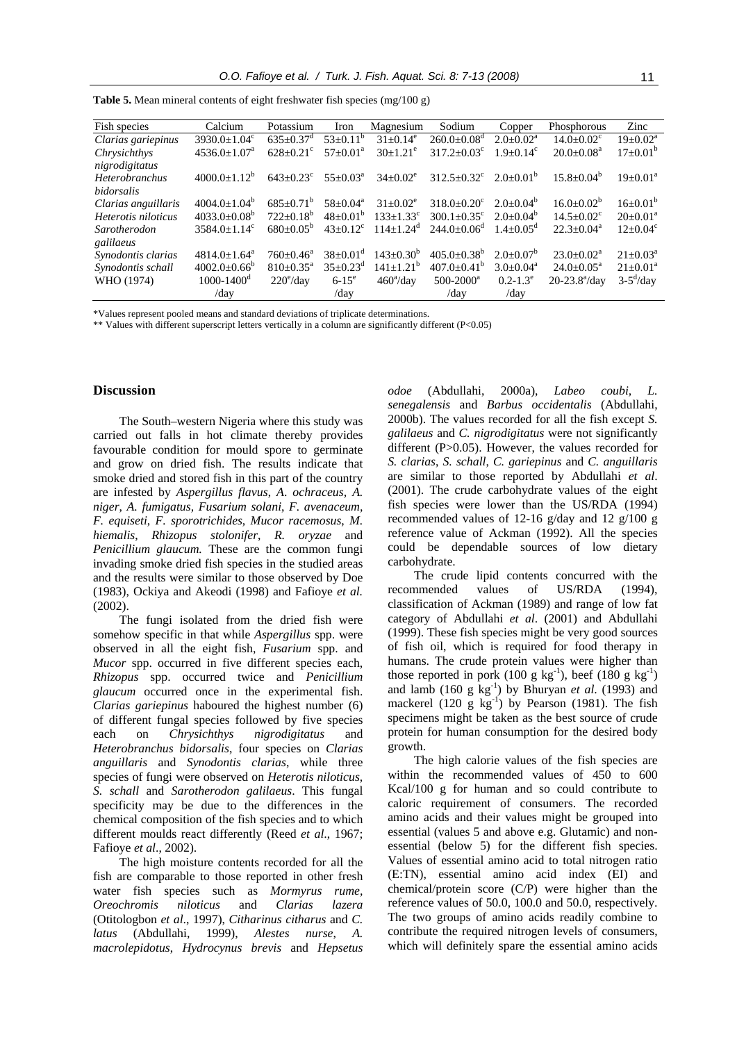| Fish species          | Calcium                        | Potassium          | Iron                       | Magnesium                   | Sodium                      | Copper               | Phosphorous             | Zinc                     |
|-----------------------|--------------------------------|--------------------|----------------------------|-----------------------------|-----------------------------|----------------------|-------------------------|--------------------------|
| Clarias gariepinus    | $3930.0 \pm 1.04$ <sup>c</sup> | $635+0.37^d$       | $53+0.11^b$                | $31 \pm 0.14^e$             | $260.0 + 0.08$ <sup>d</sup> | $2.0+0.02^a$         | $14.0 + 0.02^c$         | $19 \pm 0.02^{\text{a}}$ |
| Chrysichthys          | $4536.0 \pm 1.07^a$            | $628+0.21^{\circ}$ | $57+0.01^a$                | $30+1.21^e$                 | $317.2 + 0.03^{\circ}$      | $1.9+0.14^c$         | $20.0+0.08^a$           | $17 \pm 0.01^{\rm b}$    |
| nigrodigitatus        |                                |                    |                            |                             |                             |                      |                         |                          |
| <b>Heterobranchus</b> | $4000.0 \pm 1.12^b$            | $643+0.23^{\circ}$ | $55+0.03^a$                | $34+0.02^e$                 | $312.5 + 0.32^c$            | $2.0+0.01^b$         | $15.8 + 0.04^b$         | $19 \pm 0.01^a$          |
| bidorsalis            |                                |                    |                            |                             |                             |                      |                         |                          |
| Clarias anguillaris   | $4004.0+1.04^{\circ}$          | $685+0.71^b$       | $58 \pm 0.04^{\rm a}$      | $31+0.02^e$                 | $318.0 + 0.20^{\circ}$      | $2.0+0.04^b$         | $16.0 \pm 0.02^b$       | $16 \pm 0.01^{\rm b}$    |
| Heterotis niloticus   | $4033.0+0.08^{\circ}$          | $722+0.18^b$       | $48+0.01^{b}$              | $133 \pm 1.33$ <sup>c</sup> | $300.1 + 0.35^{\circ}$      | $2.0+0.04^b$         | $14.5 + 0.02^{\circ}$   | $20 \pm 0.01^a$          |
| Sarotherodon          | $3584.0+1.14^{\circ}$          | $680+0.05^{6}$     | $43+0.12^c$                | $114+1.24^d$                | $244.0 + 0.06^{\circ}$      | $1.4 + 0.05^{\circ}$ | $22.3+0.04^a$           | $12+0.04^{\circ}$        |
| galilaeus             |                                |                    |                            |                             |                             |                      |                         |                          |
| Synodontis clarias    | $4814.0 \pm 1.64$ <sup>a</sup> | $760+0.46^a$       | $38 \pm 0.01$ <sup>d</sup> | $143+0.30^{b}$              | $405.0 \pm 0.38^{\circ}$    | $2.0+0.07^{\circ}$   | $23.0+0.02^a$           | $21 \pm 0.03^{\text{a}}$ |
| Synodontis schall     | $4002.0 \pm 0.66^{\circ}$      | $810+0.35^{\circ}$ | $35+0.23^d$                | $141+1.21^b$                | $407.0 + 0.41^b$            | $3.0+0.04^a$         | $24.0+0.05^a$           | $21+0.01^a$              |
| WHO (1974)            | $1000 - 1400$ <sup>d</sup>     | $220^{\circ}/day$  | $6 - 15^{\circ}$           | $460^{\circ}/day$           | $500 - 2000^a$              | $0.2 - 1.3^e$        | $20 - 23.8^{\circ}/day$ | $3-5^{\rm d}/\rm day$    |
|                       | /day                           |                    | /day                       |                             | /day                        | /day                 |                         |                          |

Table 5. Mean mineral contents of eight freshwater fish species (mg/100 g)

\*Values represent pooled means and standard deviations of triplicate determinations.

\*\* Values with different superscript letters vertically in a column are significantly different (P<0.05)

#### **Discussion**

The South–western Nigeria where this study was carried out falls in hot climate thereby provides favourable condition for mould spore to germinate and grow on dried fish. The results indicate that smoke dried and stored fish in this part of the country are infested by *Aspergillus flavus*, *A*. *ochraceus, A. niger*, *A. fumigatus, Fusarium solani*, *F. avenaceum, F. equiseti*, *F. sporotrichides*, *Mucor racemosus*, *M. hiemalis*, *Rhizopus stolonifer*, *R. oryzae* and *Penicillium glaucum.* These are the common fungi invading smoke dried fish species in the studied areas and the results were similar to those observed by Doe (1983), Ockiya and Akeodi (1998) and Fafioye *et al.* (2002).

The fungi isolated from the dried fish were somehow specific in that while *Aspergillus* spp. were observed in all the eight fish, *Fusarium* spp. and *Mucor* spp. occurred in five different species each, *Rhizopus* spp. occurred twice and *Penicillium glaucum* occurred once in the experimental fish. *Clarias gariepinus* haboured the highest number (6) of different fungal species followed by five species each on *Chrysichthys nigrodigitatus* and *Heterobranchus bidorsalis*, four species on *Clarias anguillaris* and *Synodontis clarias*, while three species of fungi were observed on *Heterotis niloticus, S. schall* and *Sarotherodon galilaeus*. This fungal specificity may be due to the differences in the chemical composition of the fish species and to which different moulds react differently (Reed *et al*., 1967; Fafioye *et al*., 2002).

The high moisture contents recorded for all the fish are comparable to those reported in other fresh water fish species such as *Mormyrus rume, Oreochromis niloticus* and *Clarias lazera* (Otitologbon *et al*., 1997), *Citharinus citharus* and *C. latus* (Abdullahi, 1999), *Alestes nurse*, *A. macrolepidotus*, *Hydrocynus brevis* and *Hepsetus* 

*odoe* (Abdullahi, 2000a), *Labeo coubi, L. senegalensis* and *Barbus occidentalis* (Abdullahi, 2000b). The values recorded for all the fish except *S. galilaeus* and *C. nigrodigitatus* were not significantly different (P>0.05). However, the values recorded for *S. clarias*, *S. schall*, *C. gariepinus* and *C. anguillaris* are similar to those reported by Abdullahi *et al*. (2001). The crude carbohydrate values of the eight fish species were lower than the US/RDA (1994) recommended values of 12-16 g/day and 12 g/100 g reference value of Ackman (1992). All the species could be dependable sources of low dietary carbohydrate.

The crude lipid contents concurred with the recommended values of US/RDA (1994), classification of Ackman (1989) and range of low fat category of Abdullahi *et al*. (2001) and Abdullahi (1999). These fish species might be very good sources of fish oil, which is required for food therapy in humans. The crude protein values were higher than those reported in pork (100 g  $kg^{-1}$ ), beef (180 g  $kg^{-1}$ ) and lamb  $(160 \text{ g kg}^{-1})$  by Bhuryan *et al.* (1993) and mackerel (120 g  $kg^{-1}$ ) by Pearson (1981). The fish specimens might be taken as the best source of crude protein for human consumption for the desired body growth.

The high calorie values of the fish species are within the recommended values of 450 to 600 Kcal/100 g for human and so could contribute to caloric requirement of consumers. The recorded amino acids and their values might be grouped into essential (values 5 and above e.g. Glutamic) and nonessential (below 5) for the different fish species. Values of essential amino acid to total nitrogen ratio (E:TN), essential amino acid index (EI) and chemical/protein score (C/P) were higher than the reference values of 50.0, 100.0 and 50.0, respectively. The two groups of amino acids readily combine to contribute the required nitrogen levels of consumers, which will definitely spare the essential amino acids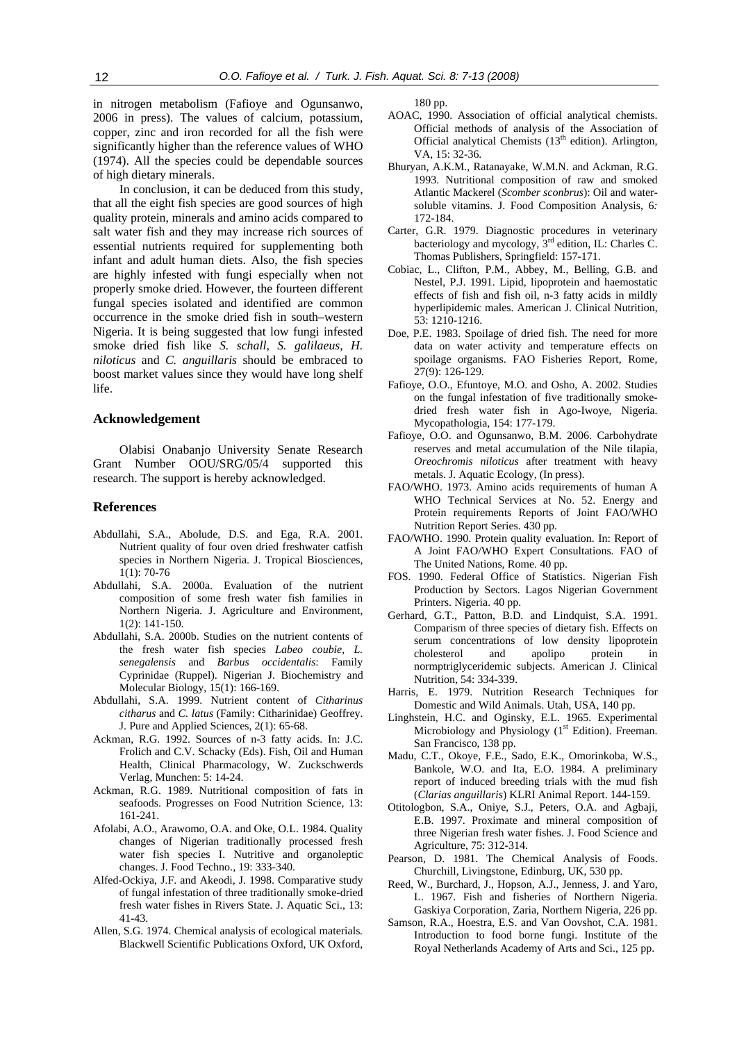in nitrogen metabolism (Fafioye and Ogunsanwo, 2006 in press). The values of calcium, potassium, copper, zinc and iron recorded for all the fish were significantly higher than the reference values of WHO (1974). All the species could be dependable sources of high dietary minerals.

In conclusion, it can be deduced from this study, that all the eight fish species are good sources of high quality protein, minerals and amino acids compared to salt water fish and they may increase rich sources of essential nutrients required for supplementing both infant and adult human diets. Also, the fish species are highly infested with fungi especially when not properly smoke dried. However, the fourteen different fungal species isolated and identified are common occurrence in the smoke dried fish in south–western Nigeria. It is being suggested that low fungi infested smoke dried fish like *S. schall*, *S. galilaeus*, *H. niloticus* and *C. anguillaris* should be embraced to boost market values since they would have long shelf life.

#### **Acknowledgement**

Olabisi Onabanjo University Senate Research Grant Number OOU/SRG/05/4 supported this research. The support is hereby acknowledged.

## **References**

- Abdullahi, S.A., Abolude, D.S. and Ega, R.A. 2001. Nutrient quality of four oven dried freshwater catfish species in Northern Nigeria. J. Tropical Biosciences, 1(1): 70-76
- Abdullahi, S.A. 2000a. Evaluation of the nutrient composition of some fresh water fish families in Northern Nigeria. J. Agriculture and Environment, 1(2): 141-150.
- Abdullahi, S.A. 2000b. Studies on the nutrient contents of the fresh water fish species *Labeo coubie, L. senegalensis* and *Barbus occidentalis*: Family Cyprinidae (Ruppel). Nigerian J. Biochemistry and Molecular Biology, 15(1): 166-169.
- Abdullahi, S.A. 1999. Nutrient content of *Citharinus citharus* and *C. latus* (Family: Citharinidae) Geoffrey. J. Pure and Applied Sciences, 2(1): 65-68.
- Ackman, R.G. 1992. Sources of n-3 fatty acids. In: J.C. Frolich and C.V. Schacky (Eds). Fish, Oil and Human Health, Clinical Pharmacology, W. Zuckschwerds Verlag, Munchen: 5: 14-24.
- Ackman, R.G. 1989. Nutritional composition of fats in seafoods. Progresses on Food Nutrition Science, 13: 161-241.
- Afolabi, A.O., Arawomo, O.A. and Oke, O.L. 1984. Quality changes of Nigerian traditionally processed fresh water fish species I. Nutritive and organoleptic changes. J. Food Techno., 19: 333-340.
- Alfed-Ockiya, J.F. and Akeodi, J. 1998. Comparative study of fungal infestation of three traditionally smoke-dried fresh water fishes in Rivers State. J. Aquatic Sci., 13: 41-43.
- Allen, S.G. 1974. Chemical analysis of ecological materials*.*  Blackwell Scientific Publications Oxford, UK Oxford,

180 pp.

- AOAC, 1990. Association of official analytical chemists. Official methods of analysis of the Association of Official analytical Chemists  $(13<sup>th</sup>$  edition). Arlington, VA, 15: 32-36.
- Bhuryan, A.K.M., Ratanayake, W.M.N. and Ackman, R.G. 1993. Nutritional composition of raw and smoked Atlantic Mackerel (*Scomber sconbrus*): Oil and watersoluble vitamins. J. Food Composition Analysis, 6*:* 172-184.
- Carter, G.R. 1979. Diagnostic procedures in veterinary bacteriology and mycology, 3<sup>rd</sup> edition, IL: Charles C. Thomas Publishers, Springfield: 157-171.
- Cobiac, L., Clifton, P.M., Abbey, M., Belling, G.B. and Nestel, P.J. 1991. Lipid, lipoprotein and haemostatic effects of fish and fish oil, n-3 fatty acids in mildly hyperlipidemic males. American J. Clinical Nutrition, 53: 1210-1216.
- Doe, P.E. 1983. Spoilage of dried fish. The need for more data on water activity and temperature effects on spoilage organisms. FAO Fisheries Report, Rome, 27(9): 126-129.
- Fafioye, O.O., Efuntoye, M.O. and Osho, A. 2002. Studies on the fungal infestation of five traditionally smokedried fresh water fish in Ago-Iwoye, Nigeria. Mycopathologia, 154: 177-179.
- Fafioye, O.O. and Ogunsanwo, B.M. 2006. Carbohydrate reserves and metal accumulation of the Nile tilapia, *Oreochromis niloticus* after treatment with heavy metals. J. Aquatic Ecology, (In press).
- FAO/WHO. 1973. Amino acids requirements of human A WHO Technical Services at No. 52. Energy and Protein requirements Reports of Joint FAO/WHO Nutrition Report Series. 430 pp.
- FAO/WHO. 1990. Protein quality evaluation. In: Report of A Joint FAO/WHO Expert Consultations. FAO of The United Nations, Rome. 40 pp.
- FOS. 1990. Federal Office of Statistics. Nigerian Fish Production by Sectors. Lagos Nigerian Government Printers. Nigeria. 40 pp.
- Gerhard, G.T., Patton, B.D. and Lindquist, S.A. 1991. Comparism of three species of dietary fish. Effects on serum concentrations of low density lipoprotein cholesterol and apolipo protein in normptriglyceridemic subjects. American J. Clinical Nutrition, 54: 334-339.
- Harris, E. 1979. Nutrition Research Techniques for Domestic and Wild Animals. Utah, USA, 140 pp.
- Linghstein, H.C. and Oginsky, E.L. 1965. Experimental Microbiology and Physiology (1<sup>st</sup> Edition). Freeman. San Francisco, 138 pp.
- Madu, C.T., Okoye, F.E., Sado, E.K., Omorinkoba, W.S., Bankole, W.O. and Ita, E.O. 1984. A preliminary report of induced breeding trials with the mud fish (*Clarias anguillaris*) KLRI Animal Report. 144-159.
- Otitologbon, S.A., Oniye, S.J., Peters, O.A. and Agbaji, E.B. 1997. Proximate and mineral composition of three Nigerian fresh water fishes. J. Food Science and Agriculture, 75: 312-314.
- Pearson, D. 1981. The Chemical Analysis of Foods. Churchill, Livingstone, Edinburg, UK, 530 pp.
- Reed, W., Burchard, J., Hopson, A.J., Jenness, J. and Yaro, L. 1967. Fish and fisheries of Northern Nigeria. Gaskiya Corporation, Zaria, Northern Nigeria, 226 pp.
- Samson, R.A., Hoestra, E.S. and Van Oovshot, C.A. 1981. Introduction to food borne fungi. Institute of the Royal Netherlands Academy of Arts and Sci., 125 pp.